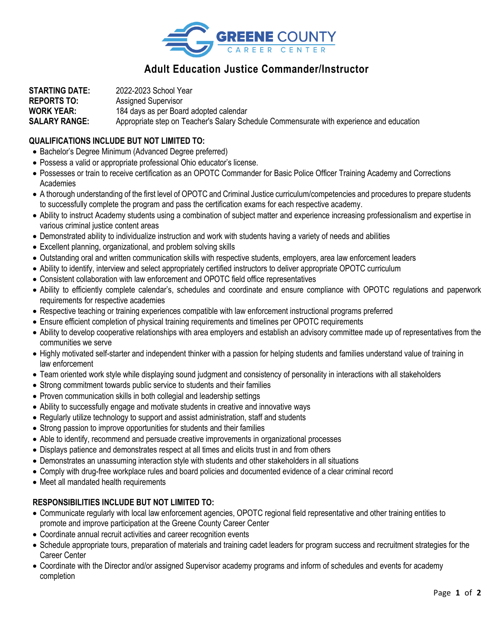

## **Adult Education Justice Commander/Instructor**

**STARTING DATE:** 2022-2023 School Year **REPORTS TO:** Assigned Supervisor **WORK YEAR:** 184 days as per Board adopted calendar **SALARY RANGE:** Appropriate step on Teacher's Salary Schedule Commensurate with experience and education

## **QUALIFICATIONS INCLUDE BUT NOT LIMITED TO:**

- Bachelor's Degree Minimum (Advanced Degree preferred)
- Possess a valid or appropriate professional Ohio educator's license.
- Possesses or train to receive certification as an OPOTC Commander for Basic Police Officer Training Academy and Corrections Academies
- A thorough understanding of the first level of OPOTC and Criminal Justice curriculum/competencies and procedures to prepare students to successfully complete the program and pass the certification exams for each respective academy.
- Ability to instruct Academy students using a combination of subject matter and experience increasing professionalism and expertise in various criminal justice content areas
- Demonstrated ability to individualize instruction and work with students having a variety of needs and abilities
- Excellent planning, organizational, and problem solving skills
- Outstanding oral and written communication skills with respective students, employers, area law enforcement leaders
- Ability to identify, interview and select appropriately certified instructors to deliver appropriate OPOTC curriculum
- Consistent collaboration with law enforcement and OPOTC field office representatives
- Ability to efficiently complete calendar's, schedules and coordinate and ensure compliance with OPOTC regulations and paperwork requirements for respective academies
- Respective teaching or training experiences compatible with law enforcement instructional programs preferred
- Ensure efficient completion of physical training requirements and timelines per OPOTC requirements
- Ability to develop cooperative relationships with area employers and establish an advisory committee made up of representatives from the communities we serve
- Highly motivated self-starter and independent thinker with a passion for helping students and families understand value of training in law enforcement
- Team oriented work style while displaying sound judgment and consistency of personality in interactions with all stakeholders
- Strong commitment towards public service to students and their families
- Proven communication skills in both collegial and leadership settings
- Ability to successfully engage and motivate students in creative and innovative ways
- Regularly utilize technology to support and assist administration, staff and students
- Strong passion to improve opportunities for students and their families
- Able to identify, recommend and persuade creative improvements in organizational processes
- Displays patience and demonstrates respect at all times and elicits trust in and from others
- Demonstrates an unassuming interaction style with students and other stakeholders in all situations
- Comply with drug-free workplace rules and board policies and documented evidence of a clear criminal record
- Meet all mandated health requirements

## **RESPONSIBILITIES INCLUDE BUT NOT LIMITED TO:**

- Communicate regularly with local law enforcement agencies, OPOTC regional field representative and other training entities to promote and improve participation at the Greene County Career Center
- Coordinate annual recruit activities and career recognition events
- Schedule appropriate tours, preparation of materials and training cadet leaders for program success and recruitment strategies for the Career Center
- Coordinate with the Director and/or assigned Supervisor academy programs and inform of schedules and events for academy completion